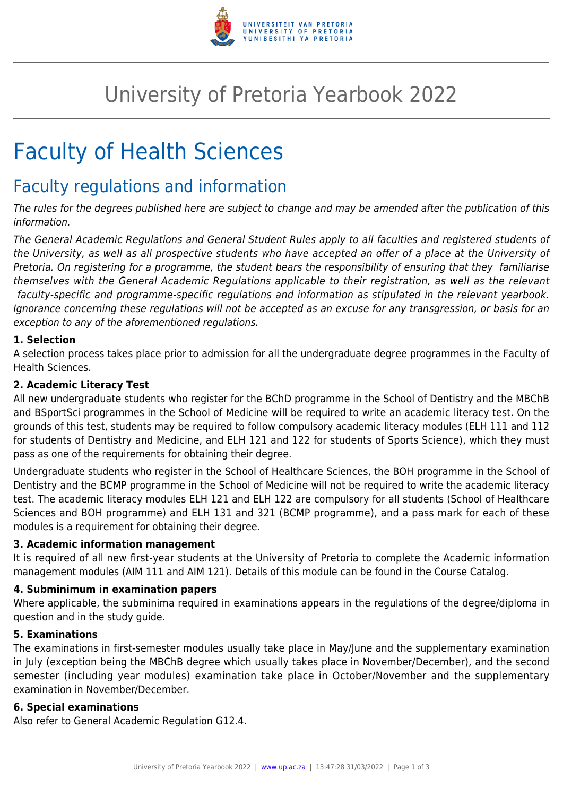

## University of Pretoria Yearbook 2022

# Faculty of Health Sciences

### Faculty regulations and information

The rules for the degrees published here are subject to change and may be amended after the publication of this information.

The General Academic Regulations and General Student Rules apply to all faculties and registered students of the University, as well as all prospective students who have accepted an offer of a place at the University of Pretoria. On registering for a programme, the student bears the responsibility of ensuring that they familiarise themselves with the General Academic Regulations applicable to their registration, as well as the relevant faculty-specific and programme-specific regulations and information as stipulated in the relevant yearbook. Ignorance concerning these regulations will not be accepted as an excuse for any transgression, or basis for an exception to any of the aforementioned regulations.

#### **1. Selection**

A selection process takes place prior to admission for all the undergraduate degree programmes in the Faculty of Health Sciences.

#### **2. Academic Literacy Test**

All new undergraduate students who register for the BChD programme in the School of Dentistry and the MBChB and BSportSci programmes in the School of Medicine will be required to write an academic literacy test. On the grounds of this test, students may be required to follow compulsory academic literacy modules (ELH 111 and 112 for students of Dentistry and Medicine, and ELH 121 and 122 for students of Sports Science), which they must pass as one of the requirements for obtaining their degree.

Undergraduate students who register in the School of Healthcare Sciences, the BOH programme in the School of Dentistry and the BCMP programme in the School of Medicine will not be required to write the academic literacy test. The academic literacy modules ELH 121 and ELH 122 are compulsory for all students (School of Healthcare Sciences and BOH programme) and ELH 131 and 321 (BCMP programme), and a pass mark for each of these modules is a requirement for obtaining their degree.

#### **3. Academic information management**

It is required of all new first-year students at the University of Pretoria to complete the Academic information management modules (AIM 111 and AIM 121). Details of this module can be found in the Course Catalog.

#### **4. Subminimum in examination papers**

Where applicable, the subminima required in examinations appears in the regulations of the degree/diploma in question and in the study guide.

#### **5. Examinations**

The examinations in first-semester modules usually take place in May/June and the supplementary examination in July (exception being the MBChB degree which usually takes place in November/December), and the second semester (including year modules) examination take place in October/November and the supplementary examination in November/December.

#### **6. Special examinations**

Also refer to General Academic Regulation G12.4.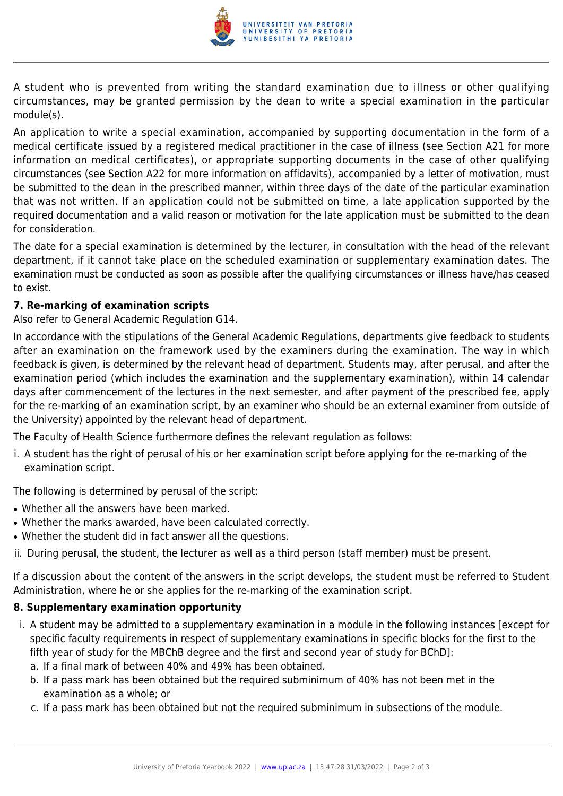

A student who is prevented from writing the standard examination due to illness or other qualifying circumstances, may be granted permission by the dean to write a special examination in the particular module(s).

An application to write a special examination, accompanied by supporting documentation in the form of a medical certificate issued by a registered medical practitioner in the case of illness (see Section A21 for more information on medical certificates), or appropriate supporting documents in the case of other qualifying circumstances (see Section A22 for more information on affidavits), accompanied by a letter of motivation, must be submitted to the dean in the prescribed manner, within three days of the date of the particular examination that was not written. If an application could not be submitted on time, a late application supported by the required documentation and a valid reason or motivation for the late application must be submitted to the dean for consideration.

The date for a special examination is determined by the lecturer, in consultation with the head of the relevant department, if it cannot take place on the scheduled examination or supplementary examination dates. The examination must be conducted as soon as possible after the qualifying circumstances or illness have/has ceased to exist.

#### **7. Re-marking of examination scripts**

Also refer to General Academic Regulation G14.

In accordance with the stipulations of the General Academic Regulations, departments give feedback to students after an examination on the framework used by the examiners during the examination. The way in which feedback is given, is determined by the relevant head of department. Students may, after perusal, and after the examination period (which includes the examination and the supplementary examination), within 14 calendar days after commencement of the lectures in the next semester, and after payment of the prescribed fee, apply for the re-marking of an examination script, by an examiner who should be an external examiner from outside of the University) appointed by the relevant head of department.

The Faculty of Health Science furthermore defines the relevant regulation as follows:

i. A student has the right of perusal of his or her examination script before applying for the re-marking of the examination script.

The following is determined by perusal of the script:

- Whether all the answers have been marked.
- Whether the marks awarded, have been calculated correctly.
- Whether the student did in fact answer all the questions.
- ii. During perusal, the student, the lecturer as well as a third person (staff member) must be present.

If a discussion about the content of the answers in the script develops, the student must be referred to Student Administration, where he or she applies for the re-marking of the examination script.

#### **8. Supplementary examination opportunity**

- i. A student may be admitted to a supplementary examination in a module in the following instances [except for specific faculty requirements in respect of supplementary examinations in specific blocks for the first to the fifth year of study for the MBChB degree and the first and second year of study for BChD]:
	- a. If a final mark of between 40% and 49% has been obtained.
	- b. If a pass mark has been obtained but the required subminimum of 40% has not been met in the examination as a whole; or
	- c. If a pass mark has been obtained but not the required subminimum in subsections of the module.